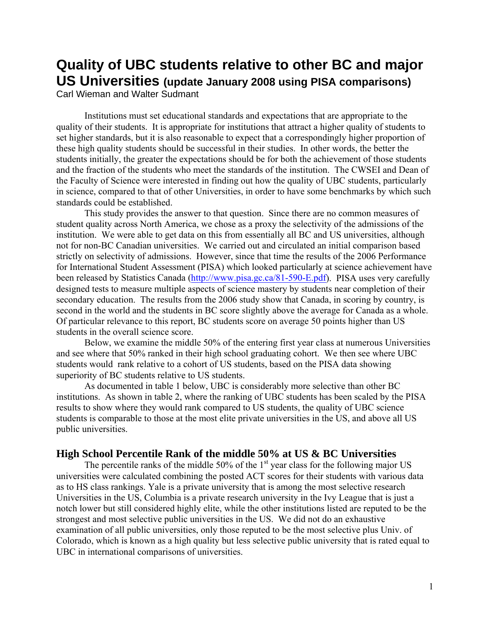## **Quality of UBC students relative to other BC and major US Universities (update January 2008 using PISA comparisons)**

Carl Wieman and Walter Sudmant

 Institutions must set educational standards and expectations that are appropriate to the quality of their students. It is appropriate for institutions that attract a higher quality of students to set higher standards, but it is also reasonable to expect that a correspondingly higher proportion of these high quality students should be successful in their studies. In other words, the better the students initially, the greater the expectations should be for both the achievement of those students and the fraction of the students who meet the standards of the institution. The CWSEI and Dean of the Faculty of Science were interested in finding out how the quality of UBC students, particularly in science, compared to that of other Universities, in order to have some benchmarks by which such standards could be established.

 This study provides the answer to that question. Since there are no common measures of student quality across North America, we chose as a proxy the selectivity of the admissions of the institution. We were able to get data on this from essentially all BC and US universities, although not for non-BC Canadian universities. We carried out and circulated an initial comparison based strictly on selectivity of admissions. However, since that time the results of the 2006 Performance for International Student Assessment (PISA) which looked particularly at science achievement have been released by Statistics Canada (http://www.pisa.gc.ca/81-590-E.pdf). PISA uses very carefully designed tests to measure multiple aspects of science mastery by students near completion of their secondary education. The results from the 2006 study show that Canada, in scoring by country, is second in the world and the students in BC score slightly above the average for Canada as a whole. Of particular relevance to this report, BC students score on average 50 points higher than US students in the overall science score.

 Below, we examine the middle 50% of the entering first year class at numerous Universities and see where that 50% ranked in their high school graduating cohort. We then see where UBC students would rank relative to a cohort of US students, based on the PISA data showing superiority of BC students relative to US students.

 As documented in table 1 below, UBC is considerably more selective than other BC institutions. As shown in table 2, where the ranking of UBC students has been scaled by the PISA results to show where they would rank compared to US students, the quality of UBC science students is comparable to those at the most elite private universities in the US, and above all US public universities.

## **High School Percentile Rank of the middle 50% at US & BC Universities**

The percentile ranks of the middle 50% of the  $1<sup>st</sup>$  year class for the following major US universities were calculated combining the posted ACT scores for their students with various data as to HS class rankings. Yale is a private university that is among the most selective research Universities in the US, Columbia is a private research university in the Ivy League that is just a notch lower but still considered highly elite, while the other institutions listed are reputed to be the strongest and most selective public universities in the US. We did not do an exhaustive examination of all public universities, only those reputed to be the most selective plus Univ. of Colorado, which is known as a high quality but less selective public university that is rated equal to UBC in international comparisons of universities.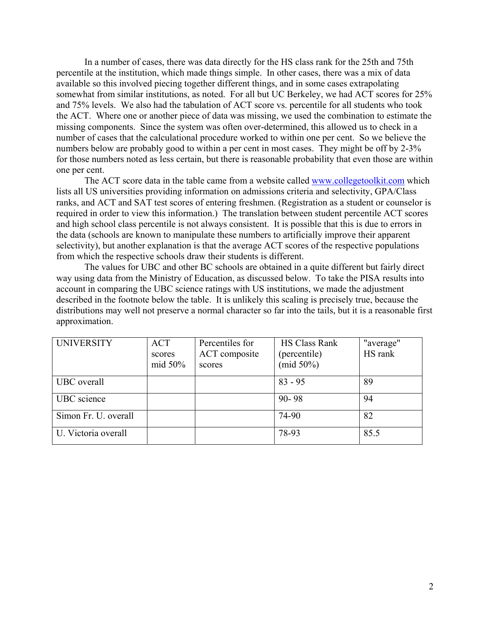In a number of cases, there was data directly for the HS class rank for the 25th and 75th percentile at the institution, which made things simple. In other cases, there was a mix of data available so this involved piecing together different things, and in some cases extrapolating somewhat from similar institutions, as noted. For all but UC Berkeley, we had ACT scores for 25% and 75% levels. We also had the tabulation of ACT score vs. percentile for all students who took the ACT. Where one or another piece of data was missing, we used the combination to estimate the missing components. Since the system was often over-determined, this allowed us to check in a number of cases that the calculational procedure worked to within one per cent. So we believe the numbers below are probably good to within a per cent in most cases. They might be off by 2-3% for those numbers noted as less certain, but there is reasonable probability that even those are within one per cent.

 The ACT score data in the table came from a website called www.collegetoolkit.com which lists all US universities providing information on admissions criteria and selectivity, GPA/Class ranks, and ACT and SAT test scores of entering freshmen. (Registration as a student or counselor is required in order to view this information.) The translation between student percentile ACT scores and high school class percentile is not always consistent. It is possible that this is due to errors in the data (schools are known to manipulate these numbers to artificially improve their apparent selectivity), but another explanation is that the average ACT scores of the respective populations from which the respective schools draw their students is different.

 The values for UBC and other BC schools are obtained in a quite different but fairly direct way using data from the Ministry of Education, as discussed below. To take the PISA results into account in comparing the UBC science ratings with US institutions, we made the adjustment described in the footnote below the table. It is unlikely this scaling is precisely true, because the distributions may well not preserve a normal character so far into the tails, but it is a reasonable first approximation.

| <b>UNIVERSITY</b>    | <b>ACT</b> | Percentiles for | <b>HS Class Rank</b> | "average" |
|----------------------|------------|-----------------|----------------------|-----------|
|                      | scores     | ACT composite   | (percentile)         | HS rank   |
|                      | mid $50\%$ | scores          | (mid $50\%$ )        |           |
| UBC overall          |            |                 | $83 - 95$            | 89        |
| UBC science          |            |                 | $90 - 98$            | 94        |
| Simon Fr. U. overall |            |                 | 74-90                | 82        |
| U. Victoria overall  |            |                 | 78-93                | 85.5      |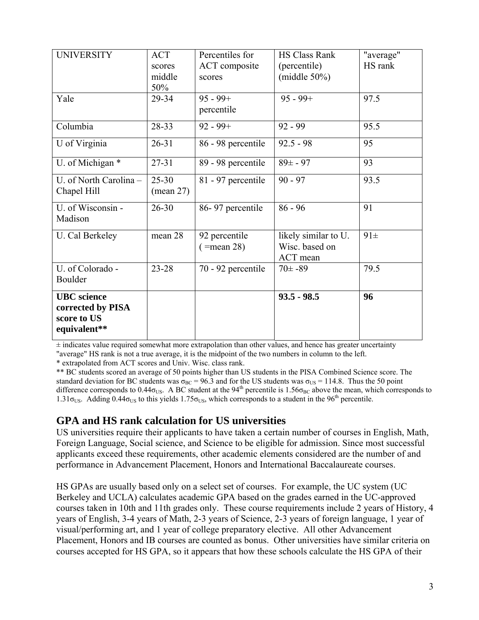| <b>UNIVERSITY</b>                                                      | <b>ACT</b><br>scores<br>middle<br>50% | Percentiles for<br>ACT composite<br>scores | <b>HS Class Rank</b><br>(percentile)<br>(middle $50\%$ ) | "average"<br>HS rank |
|------------------------------------------------------------------------|---------------------------------------|--------------------------------------------|----------------------------------------------------------|----------------------|
| Yale                                                                   | 29-34                                 | $95 - 99 +$<br>percentile                  | $95 - 99 +$                                              | 97.5                 |
| Columbia                                                               | 28-33                                 | $92 - 99 +$                                | $92 - 99$                                                | 95.5                 |
| U of Virginia                                                          | $26 - 31$                             | 86 - 98 percentile                         | $92.5 - 98$                                              | 95                   |
| U. of Michigan *                                                       | $27 - 31$                             | 89 - 98 percentile                         | $89\pm - 97$                                             | 93                   |
| U. of North Carolina -<br>Chapel Hill                                  | $25 - 30$<br>(mean 27)                | 81 - 97 percentile                         | $90 - 97$                                                | 93.5                 |
| U. of Wisconsin -<br>Madison                                           | $26 - 30$                             | 86-97 percentile                           | $86 - 96$                                                | 91                   |
| U. Cal Berkeley                                                        | mean 28                               | 92 percentile<br>$( =$ mean 28)            | likely similar to U.<br>Wisc. based on<br>ACT mean       | $91\pm$              |
| U. of Colorado -<br>Boulder                                            | $23 - 28$                             | 70 - 92 percentile                         | $70±-89$                                                 | 79.5                 |
| <b>UBC</b> science<br>corrected by PISA<br>score to US<br>equivalent** |                                       |                                            | $93.5 - 98.5$                                            | 96                   |

 $\pm$  indicates value required somewhat more extrapolation than other values, and hence has greater uncertainty "average" HS rank is not a true average, it is the midpoint of the two numbers in column to the left.

\* extrapolated from ACT scores and Univ. Wisc. class rank.

\*\* BC students scored an average of 50 points higher than US students in the PISA Combined Science score. The standard deviation for BC students was  $\sigma_{BC} = 96.3$  and for the US students was  $\sigma_{US} = 114.8$ . Thus the 50 point difference corresponds to 0.44 $\sigma$ <sub>US</sub>. A BC student at the 94<sup>th</sup> percentile is 1.56 $\sigma_{BC}$  above the mean, which corresponds to 1.31 $\sigma_{\text{US}}$ . Adding 0.44 $\sigma_{\text{US}}$  to this yields 1.75 $\sigma_{\text{US}}$ , which corresponds to a student in the 96<sup>th</sup> percentile.

## **GPA and HS rank calculation for US universities**

US universities require their applicants to have taken a certain number of courses in English, Math, Foreign Language, Social science, and Science to be eligible for admission. Since most successful applicants exceed these requirements, other academic elements considered are the number of and performance in Advancement Placement, Honors and International Baccalaureate courses.

HS GPAs are usually based only on a select set of courses. For example, the UC system (UC Berkeley and UCLA) calculates academic GPA based on the grades earned in the UC-approved courses taken in 10th and 11th grades only. These course requirements include 2 years of History, 4 years of English, 3-4 years of Math, 2-3 years of Science, 2-3 years of foreign language, 1 year of visual/performing art, and 1 year of college preparatory elective. All other Advancement Placement, Honors and IB courses are counted as bonus. Other universities have similar criteria on courses accepted for HS GPA, so it appears that how these schools calculate the HS GPA of their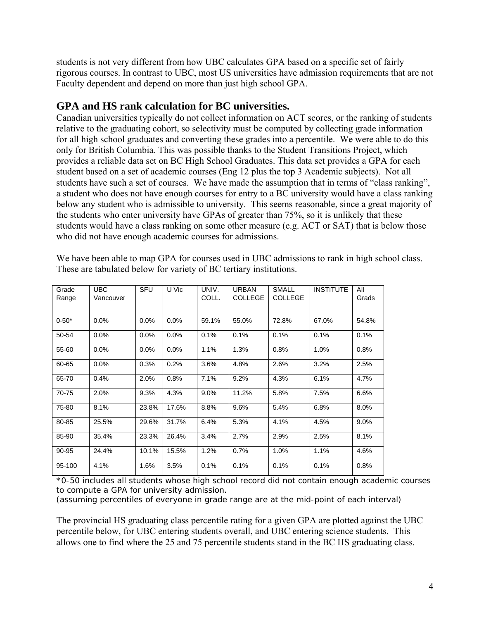students is not very different from how UBC calculates GPA based on a specific set of fairly rigorous courses. In contrast to UBC, most US universities have admission requirements that are not Faculty dependent and depend on more than just high school GPA.

## **GPA and HS rank calculation for BC universities.**

Canadian universities typically do not collect information on ACT scores, or the ranking of students relative to the graduating cohort, so selectivity must be computed by collecting grade information for all high school graduates and converting these grades into a percentile. We were able to do this only for British Columbia. This was possible thanks to the Student Transitions Project, which provides a reliable data set on BC High School Graduates. This data set provides a GPA for each student based on a set of academic courses (Eng 12 plus the top 3 Academic subjects). Not all students have such a set of courses. We have made the assumption that in terms of "class ranking", a student who does not have enough courses for entry to a BC university would have a class ranking below any student who is admissible to university. This seems reasonable, since a great majority of the students who enter university have GPAs of greater than 75%, so it is unlikely that these students would have a class ranking on some other measure (e.g. ACT or SAT) that is below those who did not have enough academic courses for admissions.

| Grade<br>Range | <b>UBC</b><br>Vancouver | SFU     | U Vic | UNIV.<br>COLL. | <b>URBAN</b><br><b>COLLEGE</b> | <b>SMALL</b><br><b>COLLEGE</b> | <b>INSTITUTE</b> | All<br>Grads |
|----------------|-------------------------|---------|-------|----------------|--------------------------------|--------------------------------|------------------|--------------|
|                |                         |         |       |                |                                |                                |                  |              |
| $0 - 50*$      | 0.0%                    | 0.0%    | 0.0%  | 59.1%          | 55.0%                          | 72.8%                          | 67.0%            | 54.8%        |
| 50-54          | 0.0%                    | $0.0\%$ | 0.0%  | 0.1%           | 0.1%                           | 0.1%                           | 0.1%             | 0.1%         |
| 55-60          | 0.0%                    | $0.0\%$ | 0.0%  | 1.1%           | 1.3%                           | 0.8%                           | 1.0%             | 0.8%         |
| 60-65          | 0.0%                    | 0.3%    | 0.2%  | 3.6%           | 4.8%                           | 2.6%                           | 3.2%             | 2.5%         |
| 65-70          | 0.4%                    | 2.0%    | 0.8%  | 7.1%           | 9.2%                           | 4.3%                           | 6.1%             | 4.7%         |
| 70-75          | 2.0%                    | 9.3%    | 4.3%  | 9.0%           | 11.2%                          | 5.8%                           | 7.5%             | 6.6%         |
| 75-80          | 8.1%                    | 23.8%   | 17.6% | 8.8%           | 9.6%                           | 5.4%                           | 6.8%             | 8.0%         |
| 80-85          | 25.5%                   | 29.6%   | 31.7% | 6.4%           | 5.3%                           | 4.1%                           | 4.5%             | 9.0%         |
| 85-90          | 35.4%                   | 23.3%   | 26.4% | 3.4%           | 2.7%                           | 2.9%                           | 2.5%             | 8.1%         |
| 90-95          | 24.4%                   | 10.1%   | 15.5% | 1.2%           | 0.7%                           | 1.0%                           | 1.1%             | 4.6%         |
| 95-100         | 4.1%                    | 1.6%    | 3.5%  | 0.1%           | 0.1%                           | 0.1%                           | 0.1%             | 0.8%         |

We have been able to map GPA for courses used in UBC admissions to rank in high school class. These are tabulated below for variety of BC tertiary institutions.

\*0-50 includes all students whose high school record did not contain enough academic courses to compute a GPA for university admission.

(assuming percentiles of everyone in grade range are at the mid-point of each interval)

The provincial HS graduating class percentile rating for a given GPA are plotted against the UBC percentile below, for UBC entering students overall, and UBC entering science students. This allows one to find where the 25 and 75 percentile students stand in the BC HS graduating class.